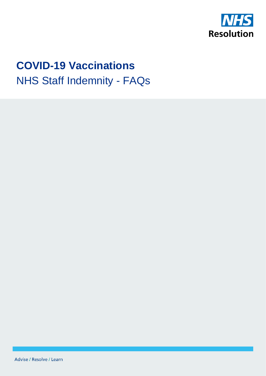

1

# **COVID-19 Vaccinations** NHS Staff Indemnity - FAQs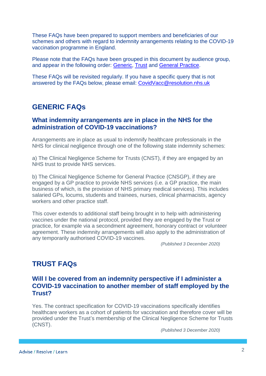These FAQs have been prepared to support members and beneficiaries of our schemes and others with regard to indemnity arrangements relating to the COVID-19 vaccination programme in England.

Please note that the FAQs have been grouped in this document by audience group, and appear in the following order: [Generic,](#page-1-0) [Trust](#page-1-1) and [General Practice.](#page-2-0)

These FAQs will be revisited regularly. If you have a specific query that is not answered by the FAQs below, please email: [CovidVacc@resolution.nhs.uk](mailto:CovidVacc@resolution.nhs.uk)

### <span id="page-1-0"></span>**GENERIC FAQs**

#### **What indemnity arrangements are in place in the NHS for the administration of COVID-19 vaccinations?**

Arrangements are in place as usual to indemnify healthcare professionals in the NHS for clinical negligence through one of the following state indemnity schemes:

a) The Clinical Negligence Scheme for Trusts (CNST), if they are engaged by an NHS trust to provide NHS services.

b) The Clinical Negligence Scheme for General Practice (CNSGP), if they are engaged by a GP practice to provide NHS services (i.e. a GP practice, the main business of which, is the provision of NHS primary medical services). This includes salaried GPs, locums, students and trainees, nurses, clinical pharmacists, agency workers and other practice staff.

This cover extends to additional staff being brought in to help with administering vaccines under the national protocol, provided they are engaged by the Trust or practice, for example via a secondment agreement, honorary contract or volunteer agreement. These indemnity arrangements will also apply to the administration of any temporarily authorised COVID-19 vaccines.

*(Published 3 December 2020)*

## <span id="page-1-1"></span>**TRUST FAQs**

#### **Will I be covered from an indemnity perspective if I administer a COVID-19 vaccination to another member of staff employed by the Trust?**

Yes. The contract specification for COVID-19 vaccinations specifically identifies healthcare workers as a cohort of patients for vaccination and therefore cover will be provided under the Trust's membership of the Clinical Negligence Scheme for Trusts (CNST).

*(Published 3 December 2020)*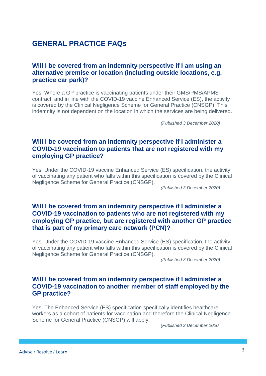## <span id="page-2-0"></span>**GENERAL PRACTICE FAQs**

#### **Will I be covered from an indemnity perspective if I am using an alternative premise or location (including outside locations, e.g. practice car park)?**

Yes. Where a GP practice is vaccinating patients under their GMS/PMS/APMS contract, and in line with the COVID-19 vaccine Enhanced Service (ES), the activity is covered by the Clinical Negligence Scheme for General Practice (CNSGP). This indemnity is not dependent on the location in which the services are being delivered.

*(Published 3 December 2020)*

#### **Will I be covered from an indemnity perspective if I administer a COVID-19 vaccination to patients that are not registered with my employing GP practice?**

Yes. Under the COVID-19 vaccine Enhanced Service (ES) specification, the activity of vaccinating any patient who falls within this specification is covered by the Clinical Negligence Scheme for General Practice (CNSGP).

*(Published 3 December 2020)*

#### **Will I be covered from an indemnity perspective if I administer a COVID-19 vaccination to patients who are not registered with my employing GP practice, but are registered with another GP practice that is part of my primary care network (PCN)?**

Yes. Under the COVID-19 vaccine Enhanced Service (ES) specification, the activity of vaccinating any patient who falls within this specification is covered by the Clinical Negligence Scheme for General Practice (CNSGP).

*(Published 3 December 2020)*

#### **Will I be covered from an indemnity perspective if I administer a COVID-19 vaccination to another member of staff employed by the GP practice?**

Yes. The Enhanced Service (ES) specification specifically identifies healthcare workers as a cohort of patients for vaccination and therefore the Clinical Negligence Scheme for General Practice (CNSGP) will apply.

*(Published 3 December 2020*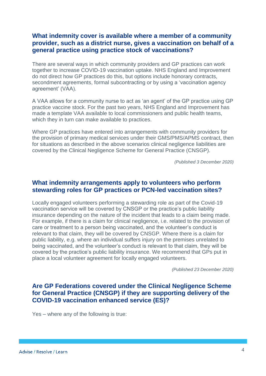#### **What indemnity cover is available where a member of a community provider, such as a district nurse, gives a vaccination on behalf of a general practice using practice stock of vaccinations?**

There are several ways in which community providers and GP practices can work together to increase COVID-19 vaccination uptake. NHS England and Improvement do not direct how GP practices do this, but options include honorary contracts, secondment agreements, formal subcontracting or by using a 'vaccination agency agreement' (VAA).

A VAA allows for a community nurse to act as 'an agent' of the GP practice using GP practice vaccine stock. For the past two years, NHS England and Improvement has made a template VAA available to local commissioners and public health teams, which they in turn can make available to practices.

Where GP practices have entered into arrangements with community providers for the provision of primary medical services under their GMS/PMS/APMS contract, then for situations as described in the above scenarios clinical negligence liabilities are covered by the Clinical Negligence Scheme for General Practice (CNSGP).

*(Published 3 December 2020)*

#### **What indemnity arrangements apply to volunteers who perform stewarding roles for GP practices or PCN-led vaccination sites?**

Locally engaged volunteers performing a stewarding role as part of the Covid-19 vaccination service will be covered by CNSGP or the practice's public liability insurance depending on the nature of the incident that leads to a claim being made. For example, if there is a claim for clinical negligence, i.e. related to the provision of care or treatment to a person being vaccinated, and the volunteer's conduct is relevant to that claim, they will be covered by CNSGP. Where there is a claim for public liability, e.g. where an individual suffers injury on the premises unrelated to being vaccinated, and the volunteer's conduct is relevant to that claim, they will be covered by the practice's public liability insurance. We recommend that GPs put in place a local volunteer agreement for locally engaged volunteers.

*(Published 23 December 2020)*

#### **Are GP Federations covered under the Clinical Negligence Scheme for General Practice (CNSGP) if they are supporting delivery of the COVID-19 vaccination enhanced service (ES)?**

Yes – where any of the following is true: